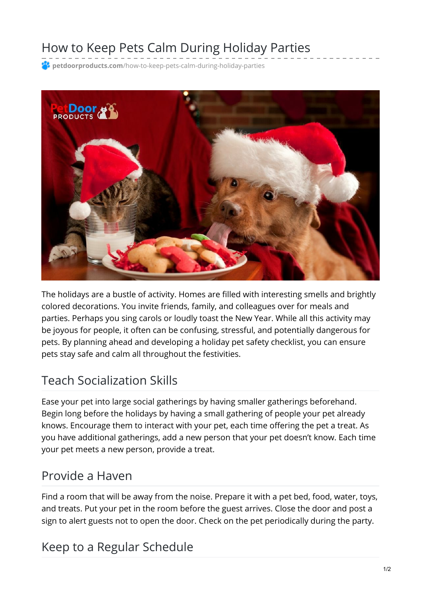# How to Keep Pets Calm During Holiday Parties

**<sup>2</sup> petdoorproducts.com**[/how-to-keep-pets-calm-during-holiday-parties](https://petdoorproducts.com/how-to-keep-pets-calm-during-holiday-parties/)



The holidays are a bustle of activity. Homes are filled with interesting smells and brightly colored decorations. You invite friends, family, and colleagues over for meals and parties. Perhaps you sing carols or loudly toast the New Year. While all this activity may be joyous for people, it often can be confusing, stressful, and potentially dangerous for pets. By planning ahead and developing a holiday pet safety checklist, you can ensure pets stay safe and calm all throughout the festivities.

## Teach Socialization Skills

Ease your pet into large social gatherings by having smaller gatherings beforehand. Begin long before the holidays by having a small gathering of people your pet already knows. Encourage them to interact with your pet, each time offering the pet a treat. As you have additional gatherings, add a new person that your pet doesn't know. Each time your pet meets a new person, provide a treat.

#### Provide a Haven

Find a room that will be away from the noise. Prepare it with a pet bed, food, water, toys, and treats. Put your pet in the room before the guest arrives. Close the door and post a sign to alert guests not to open the door. Check on the pet periodically during the party.

## Keep to a Regular Schedule